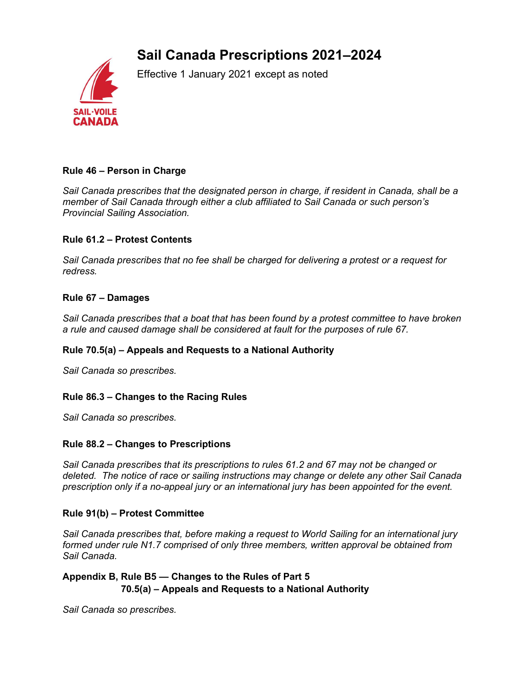# Sail Canada Prescriptions 2021–2024



Effective 1 January 2021 except as noted

# Rule 46 – Person in Charge

Sail Canada prescribes that the designated person in charge, if resident in Canada, shall be a member of Sail Canada through either a club affiliated to Sail Canada or such person's Provincial Sailing Association.

#### Rule 61.2 – Protest Contents

Sail Canada prescribes that no fee shall be charged for delivering a protest or a request for redress.

#### Rule 67 – Damages

Sail Canada prescribes that a boat that has been found by a protest committee to have broken a rule and caused damage shall be considered at fault for the purposes of rule 67.

# Rule 70.5(a) – Appeals and Requests to a National Authority

Sail Canada so prescribes.

#### Rule 86.3 – Changes to the Racing Rules

Sail Canada so prescribes.

#### Rule 88.2 – Changes to Prescriptions

Sail Canada prescribes that its prescriptions to rules 61.2 and 67 may not be changed or deleted. The notice of race or sailing instructions may change or delete any other Sail Canada prescription only if a no-appeal jury or an international jury has been appointed for the event.

#### Rule 91(b) – Protest Committee

Sail Canada prescribes that, before making a request to World Sailing for an international jury formed under rule N1.7 comprised of only three members, written approval be obtained from Sail Canada.

# Appendix B, Rule B5 — Changes to the Rules of Part 5 70.5(a) – Appeals and Requests to a National Authority

Sail Canada so prescribes.